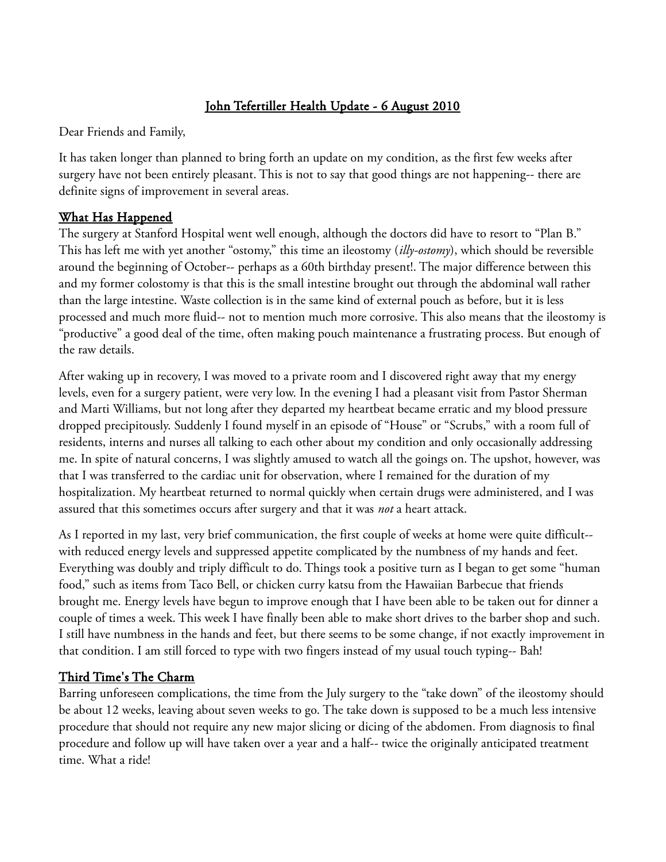# John Tefertiller Health Update - 6 August 2010

Dear Friends and Family,

It has taken longer than planned to bring forth an update on my condition, as the first few weeks after surgery have not been entirely pleasant. This is not to say that good things are not happening-- there are definite signs of improvement in several areas.

#### What Has Happened

The surgery at Stanford Hospital went well enough, although the doctors did have to resort to "Plan B." This has left me with yet another "ostomy," this time an ileostomy (*illy-ostomy*), which should be reversible around the beginning of October-- perhaps as a 60th birthday present!. The major difference between this and my former colostomy is that this is the small intestine brought out through the abdominal wall rather than the large intestine. Waste collection is in the same kind of external pouch as before, but it is less processed and much more fluid-- not to mention much more corrosive. This also means that the ileostomy is "productive" a good deal of the time, often making pouch maintenance a frustrating process. But enough of the raw details.

After waking up in recovery, I was moved to a private room and I discovered right away that my energy levels, even for a surgery patient, were very low. In the evening I had a pleasant visit from Pastor Sherman and Marti Williams, but not long after they departed my heartbeat became erratic and my blood pressure dropped precipitously. Suddenly I found myself in an episode of "House" or "Scrubs," with a room full of residents, interns and nurses all talking to each other about my condition and only occasionally addressing me. In spite of natural concerns, I was slightly amused to watch all the goings on. The upshot, however, was that I was transferred to the cardiac unit for observation, where I remained for the duration of my hospitalization. My heartbeat returned to normal quickly when certain drugs were administered, and I was assured that this sometimes occurs after surgery and that it was *not* a heart attack.

As I reported in my last, very brief communication, the first couple of weeks at home were quite difficult- with reduced energy levels and suppressed appetite complicated by the numbness of my hands and feet. Everything was doubly and triply difficult to do. Things took a positive turn as I began to get some "human food," such as items from Taco Bell, or chicken curry katsu from the Hawaiian Barbecue that friends brought me. Energy levels have begun to improve enough that I have been able to be taken out for dinner a couple of times a week. This week I have finally been able to make short drives to the barber shop and such. I still have numbness in the hands and feet, but there seems to be some change, if not exactly improvement in that condition. I am still forced to type with two fingers instead of my usual touch typing-- Bah!

### Third Time's The Charm

Barring unforeseen complications, the time from the July surgery to the "take down" of the ileostomy should be about 12 weeks, leaving about seven weeks to go. The take down is supposed to be a much less intensive procedure that should not require any new major slicing or dicing of the abdomen. From diagnosis to final procedure and follow up will have taken over a year and a half-- twice the originally anticipated treatment time. What a ride!